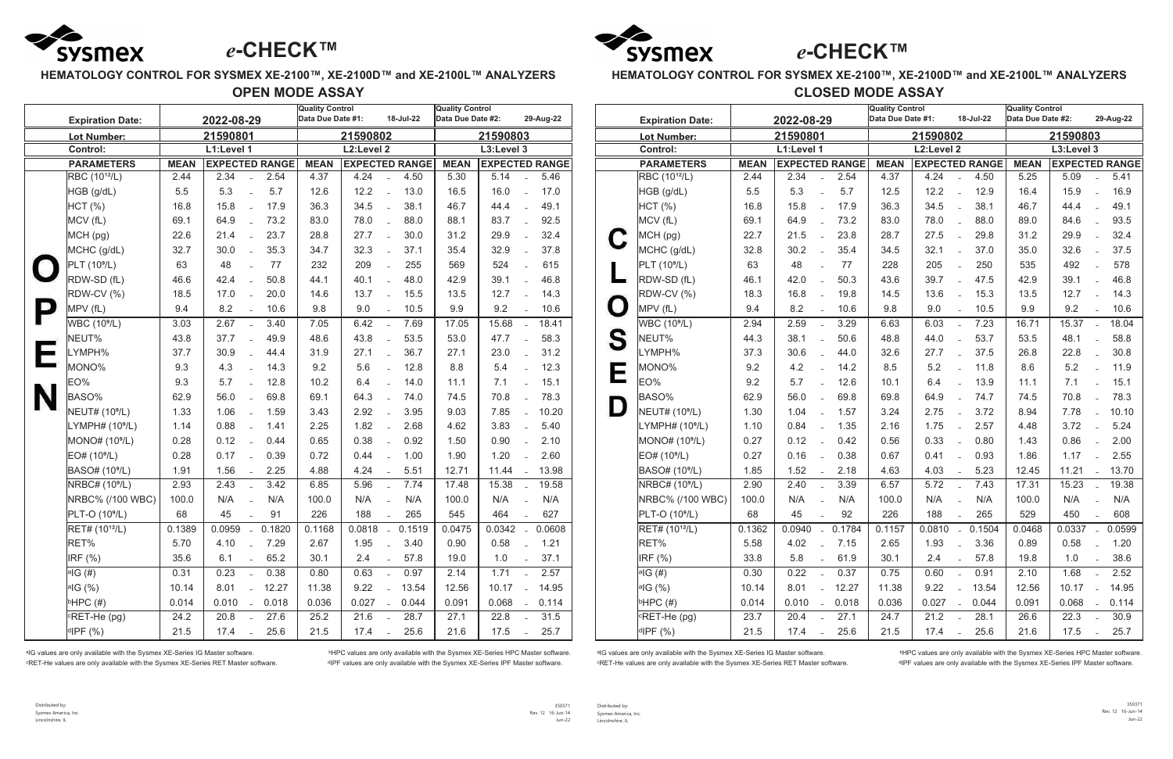

## **HEMATOLOGY CONTROL FOR SYSMEX XE-2100™, XE-2100D™ and XE-2100L™ ANALYZERS**

**OPEN MODE ASSAY**

|                                                | <b>Expiration Date:</b>     | 2022-08-29  |                       |                                      |        | <b>Quality Control</b><br>Data Due Date #1:<br>18-Jul-22 |                       |                          | <b>Quality Control</b><br>Data Due Date #2: |             |                       | 29-Aug-22                 |        |
|------------------------------------------------|-----------------------------|-------------|-----------------------|--------------------------------------|--------|----------------------------------------------------------|-----------------------|--------------------------|---------------------------------------------|-------------|-----------------------|---------------------------|--------|
|                                                | <b>Lot Number:</b>          |             | 21590801              |                                      |        | 21590802                                                 |                       | 21590803                 |                                             |             |                       |                           |        |
|                                                | <b>Control:</b>             |             | L1:Level 1            |                                      |        | L2:Level 2                                               |                       | L3:Level 3               |                                             |             |                       |                           |        |
|                                                | <b>PARAMETERS</b>           | <b>MEAN</b> | <b>EXPECTED RANGE</b> |                                      |        | <b>MEAN</b>                                              | <b>EXPECTED RANGE</b> |                          |                                             | <b>MEAN</b> | <b>EXPECTED RANGE</b> |                           |        |
|                                                | RBC (10 <sup>12</sup> /L)   | 2.44        | 2.34                  |                                      | 2.54   | 4.37                                                     | 4.24                  |                          | 4.50                                        | 5.30        | 5.14                  |                           | 5.46   |
|                                                | HGB (g/dL)                  | 5.5         | 5.3                   | $\overline{a}$                       | 5.7    | 12.6                                                     | 12.2                  | $\overline{a}$           | 13.0                                        | 16.5        | 16.0                  | $\frac{1}{2}$             | 17.0   |
|                                                | HCT (%)                     | 16.8        | 15.8                  | $\overline{a}$                       | 17.9   | 36.3                                                     | 34.5                  | $\overline{a}$           | 38.1                                        | 46.7        | 44.4                  | $\overline{a}$            | 49.1   |
|                                                | MCV (fL)                    | 69.1        | 64.9                  |                                      | 73.2   | 83.0                                                     | 78.0                  |                          | 88.0                                        | 88.1        | 83.7                  | $\overline{a}$            | 92.5   |
|                                                | MCH (pg)                    | 22.6        | 21.4                  |                                      | 23.7   | 28.8                                                     | 27.7                  |                          | 30.0                                        | 31.2        | 29.9                  | $\overline{a}$            | 32.4   |
|                                                | MCHC (g/dL)                 | 32.7        | 30.0                  | $\overline{a}$                       | 35.3   | 34.7                                                     | 32.3                  |                          | 37.1                                        | 35.4        | 32.9                  | $\overline{a}$            | 37.8   |
| $\bigcirc$                                     | PLT (10 <sup>9</sup> /L)    | 63          | 48                    | $\mathbf{r} = \mathbf{r} \mathbf{r}$ | 77     | 232                                                      | 209                   |                          | 255                                         | 569         | 524                   | $\overline{a}$            | 615    |
|                                                | RDW-SD (fL)                 | 46.6        | 42.4                  | $\overline{a}$                       | 50.8   | 44.1                                                     | 40.1                  | $\overline{a}$           | 48.0                                        | 42.9        | 39.1                  | $\overline{a}$            | 46.8   |
|                                                | RDW-CV (%)                  | 18.5        | 17.0                  |                                      | 20.0   | 14.6                                                     | 13.7                  |                          | 15.5                                        | 13.5        | 12.7                  |                           | 14.3   |
| P                                              | MPV (fL)                    | 9.4         | 8.2                   |                                      | 10.6   | 9.8                                                      | 9.0                   |                          | 10.5                                        | 9.9         | 9.2                   |                           | 10.6   |
|                                                | WBC (10 <sup>9</sup> /L)    | 3.03        | 2.67                  | $\overline{a}$                       | 3.40   | 7.05                                                     | 6.42                  | $\overline{a}$           | 7.69                                        | 17.05       | 15.68                 | $\overline{a}$            | 18.41  |
|                                                | NEUT%                       | 43.8        | 37.7                  |                                      | 49.9   | 48.6                                                     | 43.8                  |                          | 53.5                                        | 53.0        | 47.7                  | $\overline{a}$            | 58.3   |
| $\begin{pmatrix} 1 & 1 \\ 1 & 1 \end{pmatrix}$ | LYMPH%                      | 37.7        | 30.9                  |                                      | 44.4   | 31.9                                                     | 27.1                  |                          | 36.7                                        | 27.1        | 23.0                  | $\overline{a}$            | 31.2   |
|                                                | MONO%                       | 9.3         | 4.3                   | $\overline{a}$                       | 14.3   | 9.2                                                      | 5.6                   |                          | 12.8                                        | 8.8         | 5.4                   | $\overline{a}$            | 12.3   |
|                                                | EO%                         | 9.3         | 5.7                   |                                      | 12.8   | 10.2                                                     | 6.4                   |                          | 14.0                                        | 11.1        | 7.1                   | $\overline{a}$            | 15.1   |
| N                                              | BASO%                       | 62.9        | 56.0                  | $\overline{a}$                       | 69.8   | 69.1                                                     | 64.3                  |                          | 74.0                                        | 74.5        | 70.8                  | $\overline{a}$            | 78.3   |
|                                                | NEUT# (10 <sup>9</sup> /L)  | 1.33        | 1.06                  | $\overline{a}$                       | 1.59   | 3.43                                                     | 2.92                  | $\overline{a}$           | 3.95                                        | 9.03        | 7.85                  | $\overline{a}$            | 10.20  |
|                                                | LYMPH# (10 <sup>9</sup> /L) | 1.14        | 0.88                  |                                      | 1.41   | 2.25                                                     | 1.82                  |                          | 2.68                                        | 4.62        | 3.83                  |                           | 5.40   |
|                                                | MONO# (10 <sup>9</sup> /L)  | 0.28        | 0.12                  |                                      | 0.44   | 0.65                                                     | 0.38                  |                          | 0.92                                        | 1.50        | 0.90                  | $\overline{a}$            | 2.10   |
|                                                | EO# (10 <sup>9</sup> /L)    | 0.28        | 0.17                  |                                      | 0.39   | 0.72                                                     | 0.44                  |                          | 1.00                                        | 1.90        | 1.20                  | $\frac{1}{2}$             | 2.60   |
|                                                | BASO# (10 <sup>9</sup> /L)  | 1.91        | 1.56                  |                                      | 2.25   | 4.88                                                     | 4.24                  |                          | 5.51                                        | 12.71       | 11.44                 | $\frac{1}{2}$             | 13.98  |
|                                                | NRBC# (10 <sup>9</sup> /L)  | 2.93        | 2.43                  | $\overline{a}$                       | 3.42   | 6.85                                                     | 5.96                  | $\overline{a}$           | 7.74                                        | 17.48       | 15.38                 | $\frac{1}{2}$             | 19.58  |
|                                                | NRBC% (/100 WBC)            | 100.0       | N/A                   |                                      | N/A    | 100.0                                                    | N/A                   |                          | N/A                                         | 100.0       | N/A                   |                           | N/A    |
|                                                | PLT-O (10 <sup>9</sup> /L)  | 68          | 45                    | $\mathbf{r}$                         | 91     | 226                                                      | 188                   |                          | 265                                         | 545         | 464                   | $\mathbf{r}$              | 627    |
|                                                | RET# (10 <sup>12</sup> /L)  | 0.1389      | 0.0959                |                                      | 0.1820 | 0.1168                                                   | 0.0818                |                          | 0.1519                                      | 0.0475      | 0.0342                |                           | 0.0608 |
|                                                | RET%                        | 5.70        | 4.10                  | $\overline{a}$                       | 7.29   | 2.67                                                     | 1.95                  | $\mathbf{r}$             | 3.40                                        | 0.90        | 0.58                  | $\mathbf{r}$              | 1.21   |
|                                                | IRF (%)                     | 35.6        | 6.1                   | $\overline{a}$                       | 65.2   | 30.1                                                     | 2.4                   | $\overline{a}$           | 57.8                                        | 19.0        | 1.0                   | $\overline{a}$            | 37.1   |
|                                                | <sup> a</sup> IG (#)        | 0.31        | 0.23                  | $\equiv$                             | 0.38   | 0.80                                                     | 0.63                  | $\equiv$                 | 0.97                                        | 2.14        | 1.71                  | $\mathbb{L}$              | 2.57   |
|                                                | aIG (%)                     | 10.14       | 8.01                  | $\frac{1}{2}$                        | 12.27  | 11.38                                                    | 9.22                  | $\overline{\phantom{a}}$ | 13.54                                       | 12.56       | 10.17                 | $\overline{a}$            | 14.95  |
|                                                | $bHPC$ (#)                  | 0.014       | 0.010                 | $\overline{\phantom{a}}$             | 0.018  | 0.036                                                    | 0.027                 | $\frac{1}{2}$            | 0.044                                       | 0.091       | 0.068                 | $\mathbb{Z}^{\mathbb{Z}}$ | 0.114  |
|                                                | <b>CRET-He (pg)</b>         | 24.2        | 20.8                  |                                      | 27.6   | 25.2                                                     | 21.6                  | $\overline{a}$           | 28.7                                        | 27.1        | 22.8                  | $\overline{a}$            | 31.5   |
|                                                | dIPF (%)                    | 21.5        | 17.4                  |                                      | 25.6   | 21.5                                                     | 17.4                  |                          | 25.6                                        | 21.6        | 17.5                  | $\mathbb{Z}^{\mathbb{Z}}$ | 25.7   |

<sup>a</sup>IG values are only available with the Sysmex XE-Series IG Master software. <br><sup>
b</sup>HPC values are only available with the Sysmex XE-Series IG Master software. ᶜRET-He values are only available with the Sysmex XE-Series RET Master software. ᵈIPF values are only available with the Sysmex XE-Series IPF Master software.

alG values are only available with the Sysmex XE-Series IG Master software. <br>
<sup>b</sup>HPC values are only available with the Sysmex XE-Series IG Master software. ᶜRET-He values are only available with the Sysmex XE-Series RET Master software. ᵈIPF values are only available with the Sysmex XE-Series IPF Master software.

## **HEMATOLOGY CONTROL FOR SYSMEX XE-2100™, XE-2100D™ and XE-2100L™ ANALYZERS CLOSED MODE ASSAY**

| <b>Expiration Date:</b>                  | 2022-08-29  |            |                           |                       |             | <b>Quality Control</b><br>18-Jul-22<br>Data Due Date #1: |                |        |             | <b>Quality Control</b><br>Data Due Date #2:<br>29-Aug-22 |                          |        |  |
|------------------------------------------|-------------|------------|---------------------------|-----------------------|-------------|----------------------------------------------------------|----------------|--------|-------------|----------------------------------------------------------|--------------------------|--------|--|
| <b>Lot Number:</b>                       |             | 21590801   |                           |                       | 21590802    |                                                          | 21590803       |        |             |                                                          |                          |        |  |
| <b>Control:</b>                          |             | L1:Level 1 |                           |                       | L2:Level 2  |                                                          | L3:Level 3     |        |             |                                                          |                          |        |  |
| <b>PARAMETERS</b>                        | <b>MEAN</b> |            |                           | <b>EXPECTED RANGE</b> | <b>MEAN</b> | <b>EXPECTED RANGE</b>                                    |                |        | <b>MEAN</b> | <b>EXPECTED RANGE</b>                                    |                          |        |  |
| RBC (10 <sup>12</sup> /L)                | 2.44        | 2.34       |                           | 2.54                  | 4.37        | 4.24                                                     |                | 4.50   | 5.25        | 5.09                                                     |                          | 5.41   |  |
| HGB (g/dL)                               | 5.5         | 5.3        | $\overline{a}$            | 5.7                   | 12.5        | 12.2                                                     | $\overline{a}$ | 12.9   | 16.4        | 15.9                                                     | $\overline{a}$           | 16.9   |  |
| HCT (%)                                  | 16.8        | 15.8       | $\overline{a}$            | 17.9                  | 36.3        | 34.5                                                     |                | 38.1   | 46.7        | 44.4                                                     | $\overline{a}$           | 49.1   |  |
| MCV (fL)                                 | 69.1        | 64.9       |                           | 73.2                  | 83.0        | 78.0                                                     | $\overline{a}$ | 88.0   | 89.0        | 84.6                                                     | $\frac{1}{2}$            | 93.5   |  |
| MCH (pg)                                 | 22.7        | 21.5       | $\overline{a}$            | 23.8                  | 28.7        | 27.5                                                     |                | 29.8   | 31.2        | 29.9                                                     | $\overline{a}$           | 32.4   |  |
| MCHC (g/dL)                              | 32.8        | 30.2       | $\overline{a}$            | 35.4                  | 34.5        | 32.1                                                     | $\mathbf{r}$   | 37.0   | 35.0        | 32.6                                                     | $\overline{a}$           | 37.5   |  |
| PLT (10 <sup>9</sup> /L)<br>$\mathbb{L}$ | 63          | 48         |                           | 77                    | 228         | 205                                                      |                | 250    | 535         | 492                                                      | $\overline{a}$           | 578    |  |
| RDW-SD (fL)                              | 46.1        | 42.0       | $\overline{a}$            | 50.3                  | 43.6        | 39.7                                                     | $\overline{a}$ | 47.5   | 42.9        | 39.1                                                     | $\overline{a}$           | 46.8   |  |
| RDW-CV (%)                               | 18.3        | 16.8       | $\overline{\phantom{a}}$  | 19.8                  | 14.5        | 13.6                                                     | $\mathbf{r}$   | 15.3   | 13.5        | 12.7                                                     | $\overline{a}$           | 14.3   |  |
| MPV (fL)                                 | 9.4         | 8.2        | $\overline{a}$            | 10.6                  | 9.8         | 9.0                                                      | $\mathcal{L}$  | 10.5   | 9.9         | 9.2                                                      | $\overline{a}$           | 10.6   |  |
| WBC (10 <sup>9</sup> /L)                 | 2.94        | 2.59       | $\mathbf{r}$              | 3.29                  | 6.63        | 6.03                                                     | $\mathbf{r}$   | 7.23   | 16.71       | 15.37                                                    | $\mathbf{r}$             | 18.04  |  |
| S<br>NEUT%                               | 44.3        | 38.1       |                           | 50.6                  | 48.8        | 44.0                                                     |                | 53.7   | 53.5        | 48.1                                                     |                          | 58.8   |  |
| LYMPH%                                   | 37.3        | 30.6       |                           | 44.0                  | 32.6        | 27.7                                                     |                | 37.5   | 26.8        | 22.8                                                     | $\overline{a}$           | 30.8   |  |
| $\overline{\phantom{a}}$<br>MONO%        | 9.2         | 4.2        |                           | 14.2                  | 8.5         | 5.2                                                      |                | 11.8   | 8.6         | 5.2                                                      | $\overline{a}$           | 11.9   |  |
| EO%                                      | 9.2         | 5.7        |                           | 12.6                  | 10.1        | 6.4                                                      | $\overline{a}$ | 13.9   | 11.1        | 7.1                                                      | $\overline{a}$           | 15.1   |  |
| <b>BASO%</b>                             | 62.9        | 56.0       | $\overline{a}$            | 69.8                  | 69.8        | 64.9                                                     | $\mathbf{r}$   | 74.7   | 74.5        | 70.8                                                     | $\overline{a}$           | 78.3   |  |
| NEUT# (10 <sup>9</sup> /L)               | 1.30        | 1.04       | $\overline{\phantom{a}}$  | 1.57                  | 3.24        | 2.75                                                     |                | 3.72   | 8.94        | 7.78                                                     | $\overline{a}$           | 10.10  |  |
| LYMPH# (10 <sup>9</sup> /L)              | 1.10        | 0.84       | $\overline{a}$            | 1.35                  | 2.16        | 1.75                                                     | $\overline{a}$ | 2.57   | 4.48        | 3.72                                                     | $\overline{a}$           | 5.24   |  |
| MONO# (10 <sup>9</sup> /L)               | 0.27        | 0.12       | $\overline{a}$            | 0.42                  | 0.56        | 0.33                                                     | $\overline{a}$ | 0.80   | 1.43        | 0.86                                                     | $\overline{a}$           | 2.00   |  |
| EO# (10 <sup>9</sup> /L)                 | 0.27        | 0.16       | $\mathbf{r}$              | 0.38                  | 0.67        | 0.41                                                     | $\overline{a}$ | 0.93   | 1.86        | 1.17                                                     | $\mathbf{r}$             | 2.55   |  |
| <b>BASO#</b> (10 <sup>9</sup> /L)        | 1.85        | 1.52       | $\overline{a}$            | 2.18                  | 4.63        | 4.03                                                     |                | 5.23   | 12.45       | 11.21                                                    | $\overline{a}$           | 13.70  |  |
| NRBC# (10 <sup>9</sup> /L)               | 2.90        | 2.40       |                           | 3.39                  | 6.57        | 5.72                                                     | $\overline{a}$ | 7.43   | 17.31       | 15.23                                                    | $\overline{\phantom{a}}$ | 19.38  |  |
| NRBC% (/100 WBC)                         | 100.0       | N/A        |                           | N/A                   | 100.0       | N/A                                                      |                | N/A    | 100.0       | N/A                                                      |                          | N/A    |  |
| PLT-O (10 <sup>9</sup> /L)               | 68          | 45         |                           | 92                    | 226         | 188                                                      |                | 265    | 529         | 450                                                      |                          | 608    |  |
| $\sqrt{RET# (10^{12}/L)}$                | 0.1362      | 0.0940     | $\sim$                    | 0.1784                | 0.1157      | 0.0810                                                   |                | 0.1504 | 0.0468      | 0.0337                                                   |                          | 0.0599 |  |
| RET%                                     | 5.58        | 4.02       | $\equiv$                  | 7.15                  | 2.65        | 1.93                                                     | $\mathbf{r}$   | 3.36   | 0.89        | 0.58                                                     | $\overline{\phantom{a}}$ | 1.20   |  |
| IRF (%)                                  | 33.8        | 5.8        |                           | 61.9                  | 30.1        | 2.4                                                      | $\overline{a}$ | 57.8   | 19.8        | 1.0                                                      | $\overline{a}$           | 38.6   |  |
| <sup>a</sup> IG (#)                      | 0.30        | 0.22       | $\mathbb{L}^{\mathbb{N}}$ | 0.37                  | 0.75        | 0.60                                                     | $\mathcal{L}$  | 0.91   | 2.10        | 1.68                                                     | $\mathbb{Z}^+$           | 2.52   |  |
| aIG (%)                                  | 10.14       | 8.01       | $\overline{a}$            | 12.27                 | 11.38       | 9.22                                                     | $\overline{a}$ | 13.54  | 12.56       | 10.17                                                    | $\mathbb{L}$             | 14.95  |  |
| bHPC(H)                                  | 0.014       | 0.010      | $\bar{a}$                 | 0.018                 | 0.036       | 0.027                                                    | $\mathbb{L}^+$ | 0.044  | 0.091       | 0.068                                                    | $\overline{\phantom{a}}$ | 0.114  |  |
| <b>CRET-He (pg)</b>                      | 23.7        | 20.4       |                           | 27.1                  | 24.7        | 21.2                                                     |                | 28.1   | 26.6        | 22.3                                                     | $\bar{a}$                | 30.9   |  |
| dIPF (%)                                 | 21.5        | 17.4       | $\equiv$                  | 25.6                  | 21.5        | 17.4                                                     | $\mathcal{L}$  | 25.6   | 21.6        | 17.5                                                     | $\overline{\phantom{a}}$ | 25.7   |  |

Distributed by: Sysmex America, Inc. Lincolnshire, IL